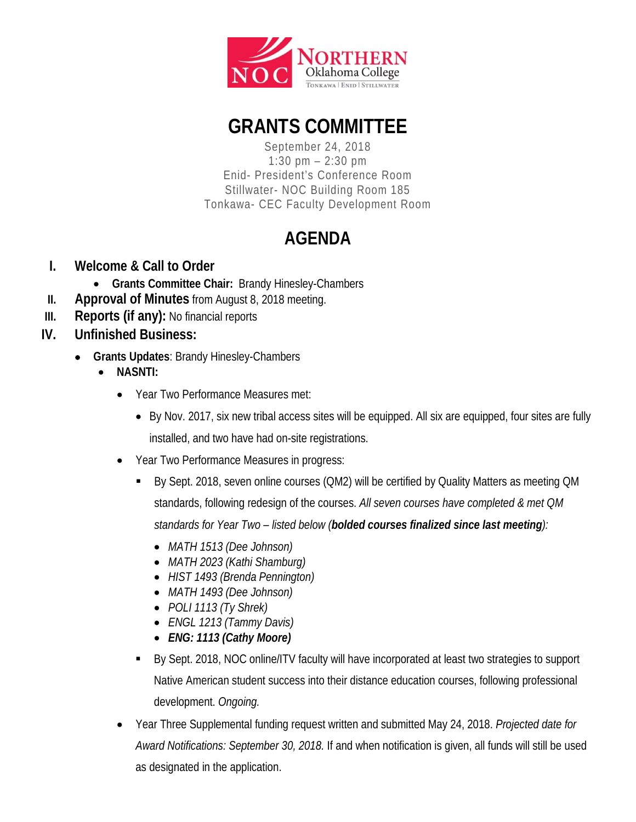

# **GRANTS COMMITTEE**

September 24, 2018 1:30 pm – 2:30 pm Enid- President's Conference Room Stillwater- NOC Building Room 185 Tonkawa- CEC Faculty Development Room

## **AGENDA**

- **I. Welcome & Call to Order**
	- **Grants Committee Chair:** Brandy Hinesley-Chambers
- **II. Approval of Minutes** from August 8, 2018 meeting.
- **III. Reports (if any):** No financial reports
- **IV. Unfinished Business:**
	- **Grants Updates**: Brandy Hinesley-Chambers
		- **NASNTI:**
			- Year Two Performance Measures met:
				- By Nov. 2017, six new tribal access sites will be equipped. All six are equipped, four sites are fully installed, and two have had on-site registrations.
			- Year Two Performance Measures in progress:
				- By Sept. 2018, seven online courses (QM2) will be certified by Quality Matters as meeting QM standards, following redesign of the courses. *All seven courses have completed & met QM standards for Year Two – listed below (bolded courses finalized since last meeting):*
					- *MATH 1513 (Dee Johnson)*
					- *MATH 2023 (Kathi Shamburg)*
					- *HIST 1493 (Brenda Pennington)*
					- *MATH 1493 (Dee Johnson)*
					- *POLI 1113 (Ty Shrek)*
					- *ENGL 1213 (Tammy Davis)*
					- *ENG: 1113 (Cathy Moore)*
				- By Sept. 2018, NOC online/ITV faculty will have incorporated at least two strategies to support Native American student success into their distance education courses, following professional development. *Ongoing.*
			- Year Three Supplemental funding request written and submitted May 24, 2018. *Projected date for Award Notifications: September 30, 2018.* If and when notification is given, all funds will still be used as designated in the application.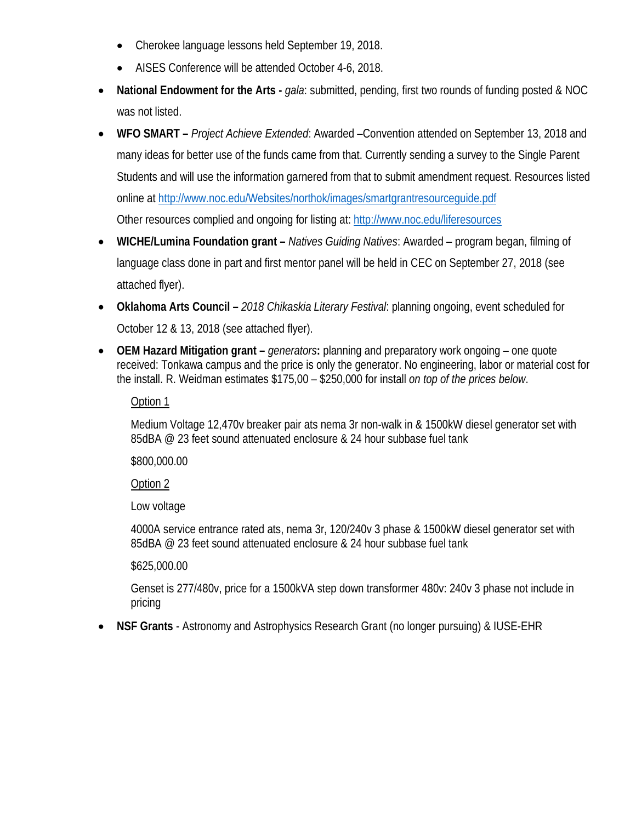- Cherokee language lessons held September 19, 2018.
- AISES Conference will be attended October 4-6, 2018.
- **National Endowment for the Arts -** *gala*: submitted, pending, first two rounds of funding posted & NOC was not listed.
- **WFO SMART –** *Project Achieve Extended*: Awarded –Convention attended on September 13, 2018 and many ideas for better use of the funds came from that. Currently sending a survey to the Single Parent Students and will use the information garnered from that to submit amendment request. Resources listed online at<http://www.noc.edu/Websites/northok/images/smartgrantresourceguide.pdf> Other resources complied and ongoing for listing at[: http://www.noc.edu/liferesources](http://www.noc.edu/liferesources)
- **WICHE/Lumina Foundation grant –** *Natives Guiding Natives*: Awarded program began, filming of language class done in part and first mentor panel will be held in CEC on September 27, 2018 (see attached flyer).
- **Oklahoma Arts Council –** *2018 Chikaskia Literary Festival*: planning ongoing, event scheduled for October 12 & 13, 2018 (see attached flyer).
- **OEM Hazard Mitigation grant –** *generators***:** planning and preparatory work ongoing one quote received: Tonkawa campus and the price is only the generator. No engineering, labor or material cost for the install. R. Weidman estimates \$175,00 – \$250,000 for install *on top of the prices below*.

#### Option 1

Medium Voltage 12,470v breaker pair ats nema 3r non-walk in & 1500kW diesel generator set with 85dBA @ 23 feet sound attenuated enclosure & 24 hour subbase fuel tank

\$800,000.00

Option 2

Low voltage

4000A service entrance rated ats, nema 3r, 120/240v 3 phase & 1500kW diesel generator set with 85dBA @ 23 feet sound attenuated enclosure & 24 hour subbase fuel tank

#### \$625,000.00

Genset is 277/480v, price for a 1500kVA step down transformer 480v: 240v 3 phase not include in pricing

• **NSF Grants** - Astronomy and Astrophysics Research Grant (no longer pursuing) & IUSE-EHR